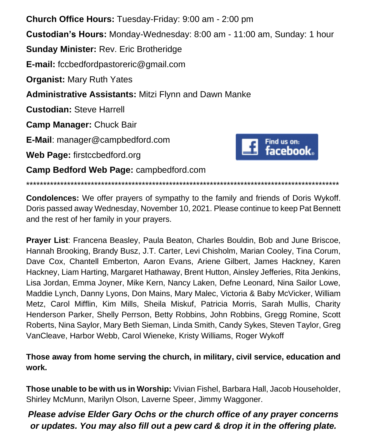**Church Office Hours:** Tuesday-Friday: 9:00 am - 2:00 pm **Custodian's Hours:** Monday-Wednesday: 8:00 am - 11:00 am, Sunday: 1 hour **Sunday Minister:** Rev. Eric Brotheridge **E-mail:** fccbedfordpastoreric@gmail.com **Organist:** Mary Ruth Yates **Administrative Assistants:** Mitzi Flynn and Dawn Manke **Custodian:** Steve Harrell **Camp Manager:** Chuck Bair **E-Mail**: manager@campbedford.com Find us on:<br>facebook. **Web Page:** firstccbedford.org **Camp Bedford Web Page:** campbedford.com

**Condolences:** We offer prayers of sympathy to the family and friends of Doris Wykoff. Doris passed away Wednesday, November 10, 2021. Please continue to keep Pat Bennett and the rest of her family in your prayers.

\*\*\*\*\*\*\*\*\*\*\*\*\*\*\*\*\*\*\*\*\*\*\*\*\*\*\*\*\*\*\*\*\*\*\*\*\*\*\*\*\*\*\*\*\*\*\*\*\*\*\*\*\*\*\*\*\*\*\*\*\*\*\*\*\*\*\*\*\*\*\*\*\*\*\*\*\*\*\*\*\*\*\*\*\*\*\*\*\*\*\*\*

**Prayer List**: Francena Beasley, Paula Beaton, Charles Bouldin, Bob and June Briscoe, Hannah Brooking, Brandy Busz, J.T. Carter, Levi Chisholm, Marian Cooley, Tina Corum, Dave Cox, Chantell Emberton, Aaron Evans, Ariene Gilbert, James Hackney, Karen Hackney, Liam Harting, Margaret Hathaway, Brent Hutton, Ainsley Jefferies, Rita Jenkins, Lisa Jordan, Emma Joyner, Mike Kern, Nancy Laken, Defne Leonard, Nina Sailor Lowe, Maddie Lynch, Danny Lyons, Don Mains, Mary Malec, Victoria & Baby McVicker, William Metz, Carol Mifflin, Kim Mills, Sheila Miskuf, Patricia Morris, Sarah Mullis, Charity Henderson Parker, Shelly Perrson, Betty Robbins, John Robbins, Gregg Romine, Scott Roberts, Nina Saylor, Mary Beth Sieman, Linda Smith, Candy Sykes, Steven Taylor, Greg VanCleave, Harbor Webb, Carol Wieneke, Kristy Williams, Roger Wykoff

**Those away from home serving the church, in military, civil service, education and work.**

**Those unable to be with us in Worship:** Vivian Fishel, Barbara Hall, Jacob Householder, Shirley McMunn, Marilyn Olson, Laverne Speer, Jimmy Waggoner.

*Please advise Elder Gary Ochs or the church office of any prayer concerns or updates. You may also fill out a pew card & drop it in the offering plate.*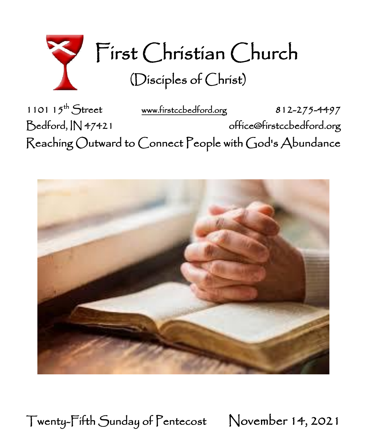

1101 15<sup>th</sup> Street [www.firstccbedford.org](http://www.firstccbedford.org/) 812-275-4497 Bedford, IN 47421 office@firstccbedford.org ֕  $\sf Reaching~Outward$  to  $\sf C$ onnect  $\sf P$ eople with  $\sf C$ od's  $\sf Abundance$ 



Twenty-Fifth Sunday of Pentecost November 14, 2021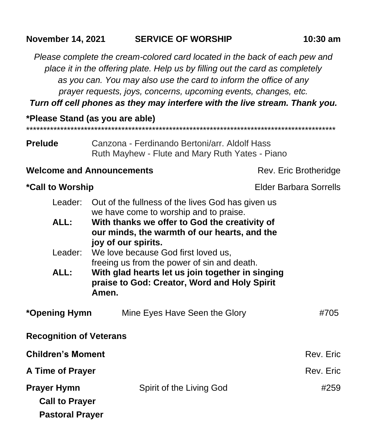#### **November 14, 2021 SERVICE OF WORSHIP 10:30 am**

*Please complete the cream-colored card located in the back of each pew and place it in the offering plate. Help us by filling out the card as completely as you can. You may also use the card to inform the office of any prayer requests, joys, concerns, upcoming events, changes, etc.*

*Turn off cell phones as they may interfere with the live stream. Thank you.*

\*\*\*\*\*\*\*\*\*\*\*\*\*\*\*\*\*\*\*\*\*\*\*\*\*\*\*\*\*\*\*\*\*\*\*\*\*\*\*\*\*\*\*\*\*\*\*\*\*\*\*\*\*\*\*\*\*\*\*\*\*\*\*\*\*\*\*\*\*\*\*\*\*\*\*\*\*\*\*\*\*\*\*\*\*\*\*\*\*\*\*

**\*Please Stand (as you are able)**

| <b>Prelude</b> | Canzona - Ferdinando Bertoni/arr. Aldolf Hass   |  |  |
|----------------|-------------------------------------------------|--|--|
|                | Ruth Mayhew - Flute and Mary Ruth Yates - Piano |  |  |

#### **Welcome and Announcements** Rev. Eric Brotheridge

### \*Call to Worship **Elder Barbara Sorrells**

|      | Leader: Out of the fullness of the lives God has given us                                                |
|------|----------------------------------------------------------------------------------------------------------|
|      | we have come to worship and to praise.                                                                   |
| ALL: | With thanks we offer to God the creativity of                                                            |
|      | our minds, the warmth of our hearts, and the                                                             |
|      | joy of our spirits.                                                                                      |
|      | Leader: We love because God first loved us,                                                              |
|      | freeing us from the power of sin and death.                                                              |
| ALL: | With glad hearts let us join together in singing<br>praise to God: Creator, Word and Holy Spirit<br>Amen |

| *Opening Hymn                                                         | Mine Eyes Have Seen the Glory | #705      |
|-----------------------------------------------------------------------|-------------------------------|-----------|
| <b>Recognition of Veterans</b>                                        |                               |           |
| <b>Children's Moment</b>                                              |                               | Rev. Eric |
| A Time of Prayer                                                      |                               | Rev. Eric |
| <b>Prayer Hymn</b><br><b>Call to Prayer</b><br><b>Pastoral Prayer</b> | Spirit of the Living God      | #259      |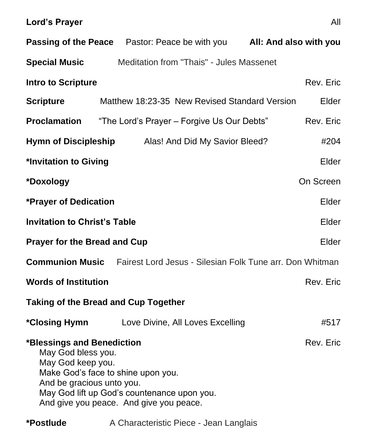|                                                                                                                                                                                                                                                 | <b>Passing of the Peace</b> Pastor: Peace be with you <b>All: And also with you</b> |           |  |  |  |
|-------------------------------------------------------------------------------------------------------------------------------------------------------------------------------------------------------------------------------------------------|-------------------------------------------------------------------------------------|-----------|--|--|--|
| <b>Special Music</b>                                                                                                                                                                                                                            | Meditation from "Thais" - Jules Massenet                                            |           |  |  |  |
| <b>Intro to Scripture</b>                                                                                                                                                                                                                       |                                                                                     | Rev. Eric |  |  |  |
| <b>Scripture</b>                                                                                                                                                                                                                                | Matthew 18:23-35 New Revised Standard Version                                       | Elder     |  |  |  |
| <b>Proclamation</b>                                                                                                                                                                                                                             | "The Lord's Prayer - Forgive Us Our Debts"                                          | Rev. Eric |  |  |  |
| <b>Hymn of Discipleship</b>                                                                                                                                                                                                                     | Alas! And Did My Savior Bleed?                                                      | #204      |  |  |  |
| *Invitation to Giving<br>Elder                                                                                                                                                                                                                  |                                                                                     |           |  |  |  |
| *Doxology                                                                                                                                                                                                                                       |                                                                                     | On Screen |  |  |  |
| <b>*Prayer of Dedication</b>                                                                                                                                                                                                                    |                                                                                     | Elder     |  |  |  |
| <b>Invitation to Christ's Table</b><br>Elder                                                                                                                                                                                                    |                                                                                     |           |  |  |  |
| <b>Prayer for the Bread and Cup</b><br>Elder                                                                                                                                                                                                    |                                                                                     |           |  |  |  |
|                                                                                                                                                                                                                                                 | <b>Communion Music</b> Fairest Lord Jesus - Silesian Folk Tune arr. Don Whitman     |           |  |  |  |
| <b>Words of Institution</b>                                                                                                                                                                                                                     |                                                                                     | Rev. Eric |  |  |  |
| <b>Taking of the Bread and Cup Together</b>                                                                                                                                                                                                     |                                                                                     |           |  |  |  |
| <i><b>*Closing Hymn</b></i>                                                                                                                                                                                                                     | Love Divine, All Loves Excelling                                                    | #517      |  |  |  |
| Rev. Eric<br>*Blessings and Benediction<br>May God bless you.<br>May God keep you.<br>Make God's face to shine upon you.<br>And be gracious unto you.<br>May God lift up God's countenance upon you.<br>And give you peace. And give you peace. |                                                                                     |           |  |  |  |

# **\*Postlude** A Characteristic Piece - Jean Langlais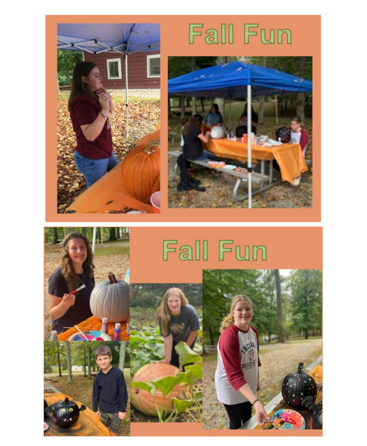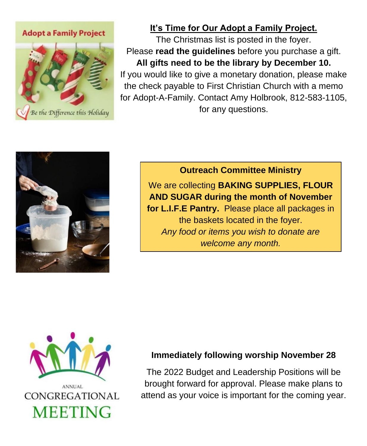**Adopt a Family Project** 



## **It's Time for Our Adopt a Family Project.**

The Christmas list is posted in the foyer. Please **read the guidelines** before you purchase a gift. **All gifts need to be the library by December 10.** If you would like to give a monetary donation, please make the check payable to First Christian Church with a memo for Adopt-A-Family. Contact Amy Holbrook, 812-583-1105, for any questions.



**Outreach Committee Ministry** We are collecting **BAKING SUPPLIES, FLOUR AND SUGAR during the month of November for L.I.F.E Pantry.** Please place all packages in the baskets located in the foyer. *Any food or items you wish to donate are welcome any month.*



#### **Immediately following worship November 28**

The 2022 Budget and Leadership Positions will be brought forward for approval. Please make plans to attend as your voice is important for the coming year.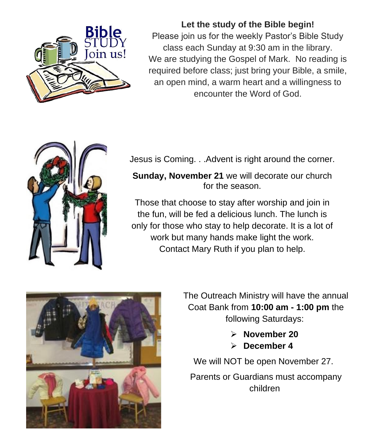

**Let the study of the Bible begin!** Please join us for the weekly Pastor's Bible Study class each Sunday at 9:30 am in the library. We are studying the Gospel of Mark. No reading is required before class; just bring your Bible, a smile, an open mind, a warm heart and a willingness to encounter the Word of God.



Jesus is Coming. . .Advent is right around the corner.

**Sunday, November 21** we will decorate our church for the season.

Those that choose to stay after worship and join in the fun, will be fed a delicious lunch. The lunch is only for those who stay to help decorate. It is a lot of work but many hands make light the work. Contact Mary Ruth if you plan to help.



The Outreach Ministry will have the annual Coat Bank from **10:00 am - 1:00 pm** the following Saturdays:

- ➢ **November 20**
- ➢ **December 4**

We will NOT be open November 27.

Parents or Guardians must accompany children